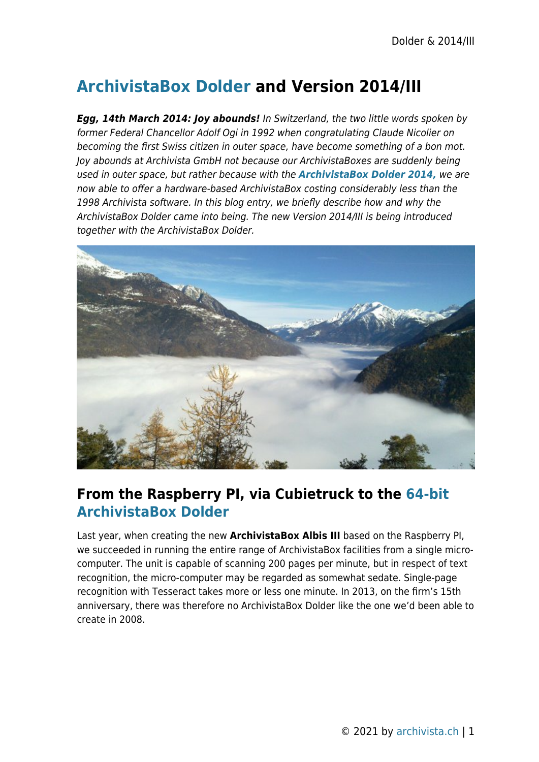## **[ArchivistaBox Dolder](http://shop.archivista.ch/oscommunity/catalog/advanced_search_result.php?keywords=dolder&x=0&y=0) and Version 2014/III**

*Egg, 14th March 2014: Joy abounds!* In Switzerland, the two little words spoken by former Federal Chancellor Adolf Ogi in 1992 when congratulating Claude Nicolier on becoming the first Swiss citizen in outer space, have become something of a bon mot. Joy abounds at Archivista GmbH not because our ArchivistaBoxes are suddenly being used in outer space, but rather because with the *[ArchivistaBox Dolder 2014,](http://shop.archivista.ch/oscommunity/catalog/advanced_search_result.php?keywords=dolder&x=0&y=0)* we are now able to offer a hardware-based ArchivistaBox costing considerably less than the 1998 Archivista software. In this blog entry, we briefly describe how and why the ArchivistaBox Dolder came into being. The new Version 2014/III is being introduced together with the ArchivistaBox Dolder.



## **From the Raspberry PI, via Cubietruck to the [64-bit](http://shop.archivista.ch/oscommunity/catalog/advanced_search_result.php?keywords=dolder&x=0&y=0) [ArchivistaBox Dolder](http://shop.archivista.ch/oscommunity/catalog/advanced_search_result.php?keywords=dolder&x=0&y=0)**

Last year, when creating the new **ArchivistaBox Albis III** based on the Raspberry PI, we succeeded in running the entire range of ArchivistaBox facilities from a single microcomputer. The unit is capable of scanning 200 pages per minute, but in respect of text recognition, the micro-computer may be regarded as somewhat sedate. Single-page recognition with Tesseract takes more or less one minute. In 2013, on the firm's 15th anniversary, there was therefore no ArchivistaBox Dolder like the one we'd been able to create in 2008.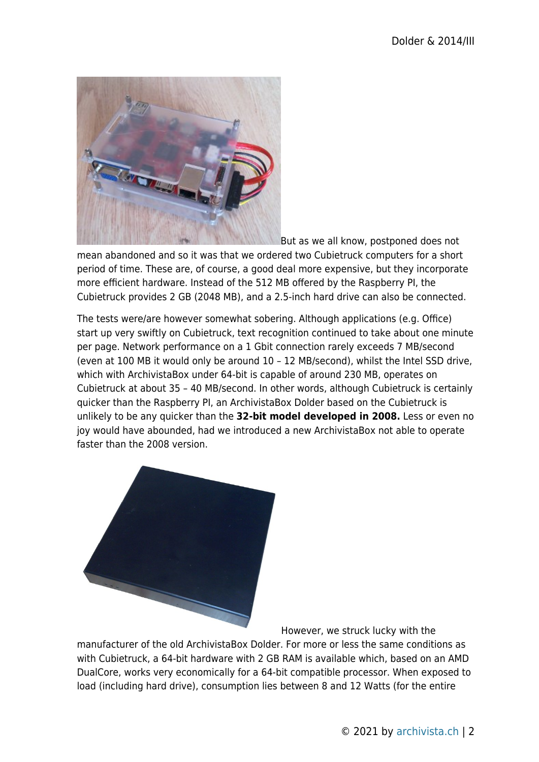

But as we all know, postponed does not mean abandoned and so it was that we ordered two Cubietruck computers for a short period of time. These are, of course, a good deal more expensive, but they incorporate more efficient hardware. Instead of the 512 MB offered by the Raspberry PI, the Cubietruck provides 2 GB (2048 MB), and a 2.5-inch hard drive can also be connected.

The tests were/are however somewhat sobering. Although applications (e.g. Office) start up very swiftly on Cubietruck, text recognition continued to take about one minute per page. Network performance on a 1 Gbit connection rarely exceeds 7 MB/second (even at 100 MB it would only be around 10 – 12 MB/second), whilst the Intel SSD drive, which with ArchivistaBox under 64-bit is capable of around 230 MB, operates on Cubietruck at about 35 – 40 MB/second. In other words, although Cubietruck is certainly quicker than the Raspberry PI, an ArchivistaBox Dolder based on the Cubietruck is unlikely to be any quicker than the **32-bit model developed in 2008.** Less or even no joy would have abounded, had we introduced a new ArchivistaBox not able to operate faster than the 2008 version.



However, we struck lucky with the

manufacturer of the old ArchivistaBox Dolder. For more or less the same conditions as with Cubietruck, a 64-bit hardware with 2 GB RAM is available which, based on an AMD DualCore, works very economically for a 64-bit compatible processor. When exposed to load (including hard drive), consumption lies between 8 and 12 Watts (for the entire